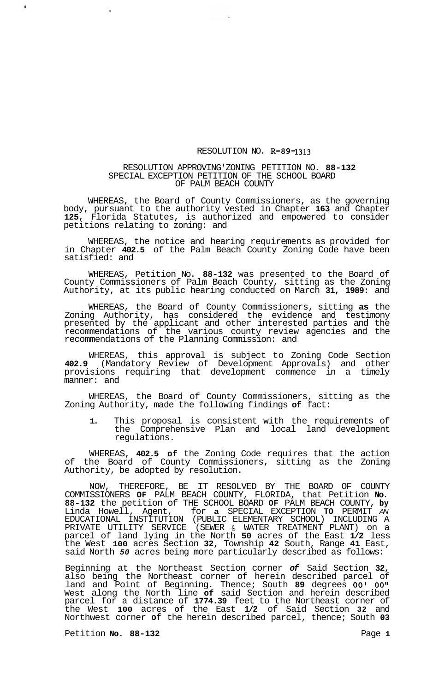## RESOLUTION NO. **R-89-1313**

## RESOLUTION APPROVING'ZONING PETITION NO. **88-132**  SPECIAL EXCEPTION PETITION OF THE SCHOOL BOARD OF PALM BEACH COUNTY

WHEREAS, the Board of County Commissioners, as the governing body, pursuant to the authority vested in Chapter **163** and Chapter **125,** Florida Statutes, is authorized and empowered to consider petitions relating to zoning: and

WHEREAS, the notice and hearing requirements as provided for in Chapter **402.5** of the Palm Beach County Zoning Code have been satisfied: and

WHEREAS, Petition No. **88-132** was presented to the Board of County Commissioners of Palm Beach County, sitting as the Zoning Authority, at its public hearing conducted on March **31, 1989:** and

WHEREAS, the Board of County Commissioners, sitting **as** the Zoning Authority, has considered the evidence and testimony presented by the applicant and other interested parties and the recommendations of the various county review agencies and the recommendations of the Planning Commission: and

WHEREAS, this approval is subject to Zoning Code Section **402.9** (Mandatory Review of Development Approvals) and other provisions requiring that development commence in a timely manner: and

WHEREAS, the Board of County Commissioners, sitting as the Zoning Authority, made the following findings **of** fact:

**1.** This proposal is consistent with the requirements of the Comprehensive Plan and local land development regulations.

WHEREAS, **402.5 of** the Zoning Code requires that the action of the Board of County Commissioners, sitting as the Zoning Authority, be adopted by resolution.

NOW, THEREFORE, BE IT RESOLVED BY THE BOARD OF COUNTY COMMISSIONERS **OF** PALM BEACH COUNTY, FLORIDA, that Petition **No. 88-132** the petition of THE SCHOOL BOARD **OF** PALM BEACH COUNTY, **by**  Linda Howell, Agent, for **a** SPECIAL EXCEPTION **TO** PERMIT *AN*  EDUCATIONAL INSTITUTION (PUBLIC ELEMENTARY SCHOOL) INCLUDING A PRIVATE UTILITY SERVICE (SEWER & WATER TREATMENT PLANT) on a parcel of land lying in the North **50** acres of the East **1/2** less the West **100** acres Section **32,** Township **42** South, Range **41** East, said North *50* acres being more particularly described as follows:

Beginning at the Northeast Section corner *of* Said Section **32,**  also being the Northeast corner of herein described parcel of land and Point of Beginning. Thence; South **89** degrees *00' 00"*  West along the North line **of** said Section and herein described parcel for a distance of **1774.39** feet to the Northeast corner of the West **100** acres **of** the East **1/2** of Said Section **32** and Northwest corner **of** the herein described parcel, thence; South **03** 

Petition **No. 88-132** Page 1

 $\hat{\mathbf{g}}$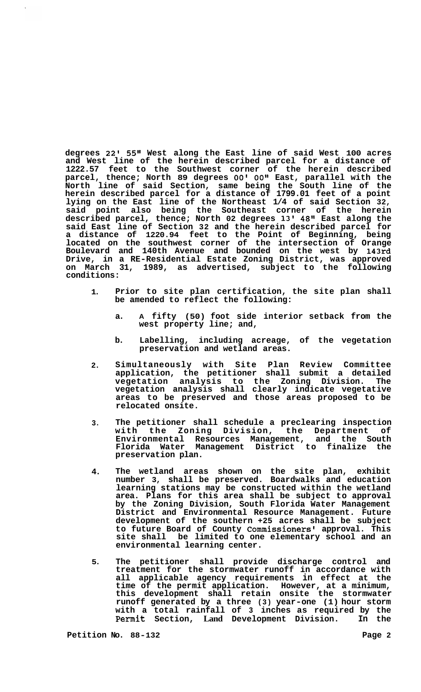**degrees 22l** 55'l **West along the East line of said West 100 acres and West line of the herein described parcel for a distance of 1222.57 feet to the Southwest corner of the herein described parcel, thence; North 89 degrees OOI** *00"* **East, parallel with the North line of said Section, same being the South line of the herein described parcel for a distance of 1799.01 feet of a point lying on the East line of the Northeast 1/4 of said Section 32, said point also being the Southeast corner of the herein described parcel, thence; North 02 degrees 13' 48'l East along the said East line of Section 32 and the herein described parcel for a distance of 1220.94 feet to the Point of Beginning, being located on the southwest corner of the intersection of Orange Boulevard and 140th Avenue and bounded on the west by 143rd Drive, in a RE-Residential Estate Zoning District, was approved on March 31, 1989, as advertised, subject to the following conditions:** 

- **1. Prior to site plan certification, the site plan shall be amended to reflect the following:** 
	- **a. A fifty (50) foot side interior setback from the west property line; and,**
	- **b. Labelling, including acreage, of the vegetation preservation and wetland areas.**
- **2. Simultaneously with Site Plan Review Committee application, the petitioner shall submit a detailed vegetation analysis to the Zoning Division. The vegetation analysis shall clearly indicate vegetative areas to be preserved and those areas proposed to be relocated onsite.**
- **3. The petitioner shall schedule a preclearing inspection with the Zoning Division, the Department of Environmental Resources Management, and the South Florida Water Management District to finalize the preservation plan.**
- **4. The wetland areas shown on the site plan, exhibit number 3, shall be preserved. Boardwalks and education learning stations may be constructed within the wetland area. Plans for this area shall be subject to approval by the Zoning Division, South Florida Water Management District and Environmental Resource Management. Future development of the southern +25 acres shall be subject to future Board of County Commissioners' approval. This site shall be limited to one elementary school and an environmental learning center.**
- **5. The petitioner shall provide discharge control and treatment for the stormwater runoff in accordance with all applicable agency requirements in effect at the time of the permit application. However, at a minimum, this development shall retain onsite the stormwater runoff generated by a three (3) year-one (1) hour storm with a total rainfall of 3 inches as required by the Permit Section, Land Development Division. In the**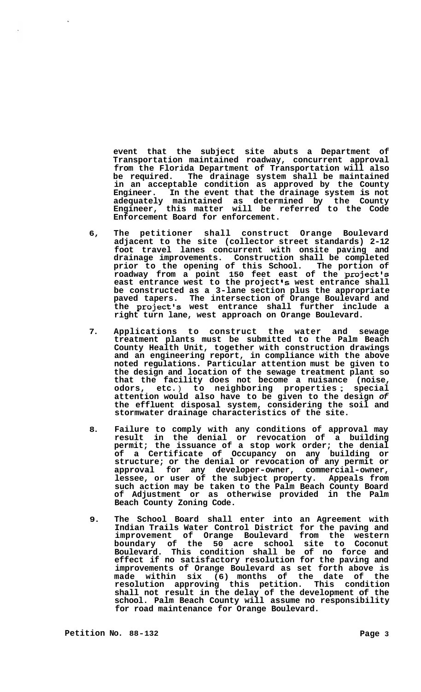**event that the subject site abuts a Department of Transportation maintained roadway, concurrent approval from the Florida Department of Transportation will also be required. The drainage system shall be maintained in an acceptable condition as approved by the County Engineer. In the event that the drainage system is not adequately maintained as determined by the County Engineer, this matter will be referred to the Code Enforcement Board for enforcement.** 

- **6, The petitioner shall construct Orange Boulevard adjacent to the site (collector street standards) 2-12 foot travel lanes concurrent with onsite paving and drainage improvements. Construction shall be completed prior to the opening of this School. The portion of roadway from a point 150 feet east of the project's east entrance west to the project Is west entrance shall be constructed as a 3-lane section plus the appropriate paved tapers. The intersection of Orange Boulevard and the project's west entrance shall further include a right turn lane, west approach on Orange Boulevard.**
- **7. Applications to construct the water and sewage treatment plants must be submitted to the Palm Beach County Health Unit, together with construction drawings and an engineering report, in compliance with the above noted regulations. Particular attention must be given to the design and location of the sewage treatment plant so that the facility does not become a nuisance (noise, odors, etc.** ) **to neighboring properties** ; **special attention would also have to be given to the design** *of*  **the effluent disposal system, considering the soil and stormwater drainage characteristics of the site.**
- **8. Failure to comply with any conditions of approval may result in the denial or revocation of a building permit; the issuance of a stop work order; the denial of a Certificate of Occupancy on any building or structure; or the denial or revocation of any permit or approval for any developer-owner, commercial-owner, lessee, or user of the subject property. Appeals from such action may be taken to the Palm Beach County Board of Adjustment or as otherwise provided in the Palm Beach County Zoning Code.**
- **9. The School Board shall enter into an Agreement with Indian Trails Water Control District for the paving and improvement of Orange Boulevard from the western boundary of the 50 acre school site to Coconut Boulevard. This condition shall be of no force and effect if no satisfactory resolution for the paving and improvements of Orange Boulevard as set forth above is made within six (6) months of the date of the resolution approving this petition. This condition shall not result in the delay of the development of the school. Palm Beach County will assume no responsibility for road maintenance for Orange Boulevard.**